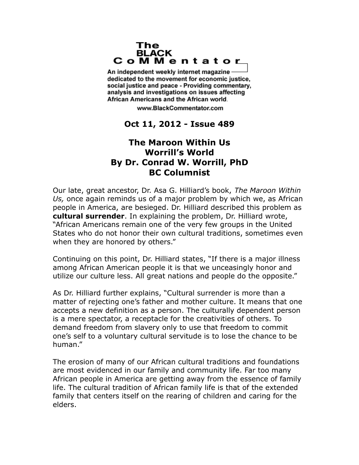## The **BLACK** CoMMentator

An independent weekly internet magazine dedicated to the movement for economic justice. social justice and peace - Providing commentary, analysis and investigations on issues affecting African Americans and the African world.

www.BlackCommentator.com

## **Oct 11, 2012 - Issue 489**

## **The Maroon Within Us Worrill's World By Dr. Conrad W. Worrill, PhD BC Columnist**

Our late, great ancestor, Dr. Asa G. Hilliard's book, *The Maroon Within Us,* once again reminds us of a major problem by which we, as African people in America, are besieged. Dr. Hilliard described this problem as **cultural surrender**. In explaining the problem, Dr. Hilliard wrote, "African Americans remain one of the very few groups in the United States who do not honor their own cultural traditions, sometimes even when they are honored by others."

Continuing on this point, Dr. Hilliard states, "If there is a major illness among African American people it is that we unceasingly honor and utilize our culture less. All great nations and people do the opposite."

As Dr. Hilliard further explains, "Cultural surrender is more than a matter of rejecting one's father and mother culture. It means that one accepts a new definition as a person. The culturally dependent person is a mere spectator, a receptacle for the creativities of others. To demand freedom from slavery only to use that freedom to commit one's self to a voluntary cultural servitude is to lose the chance to be human."

The erosion of many of our African cultural traditions and foundations are most evidenced in our family and community life. Far too many African people in America are getting away from the essence of family life. The cultural tradition of African family life is that of the extended family that centers itself on the rearing of children and caring for the elders.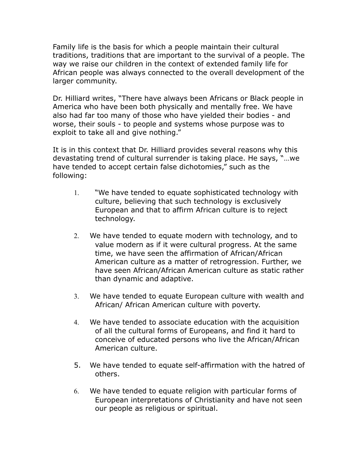Family life is the basis for which a people maintain their cultural traditions, traditions that are important to the survival of a people. The way we raise our children in the context of extended family life for African people was always connected to the overall development of the larger community.

Dr. Hilliard writes, "There have always been Africans or Black people in America who have been both physically and mentally free. We have also had far too many of those who have yielded their bodies - and worse, their souls - to people and systems whose purpose was to exploit to take all and give nothing."

It is in this context that Dr. Hilliard provides several reasons why this devastating trend of cultural surrender is taking place. He says, "…we have tended to accept certain false dichotomies," such as the following:

- 1. "We have tended to equate sophisticated technology with culture, believing that such technology is exclusively European and that to affirm African culture is to reject technology.
- 2. We have tended to equate modern with technology, and to value modern as if it were cultural progress. At the same time, we have seen the affirmation of African/African American culture as a matter of retrogression. Further, we have seen African/African American culture as static rather than dynamic and adaptive.
- 3. We have tended to equate European culture with wealth and African/ African American culture with poverty.
- 4. We have tended to associate education with the acquisition of all the cultural forms of Europeans, and find it hard to conceive of educated persons who live the African/African American culture.
- 5. We have tended to equate self-affirmation with the hatred of others.
- 6. We have tended to equate religion with particular forms of European interpretations of Christianity and have not seen our people as religious or spiritual.